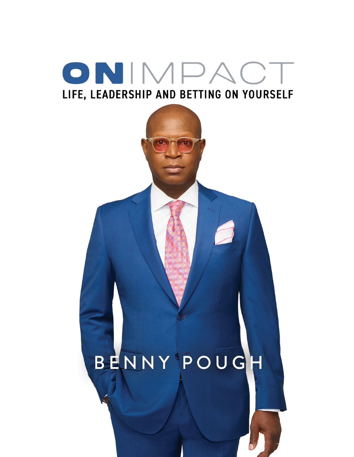# ONIMPACT LIFE, LEADERSHIP AND BETTING ON YOURSELF

# BENNYPOUGH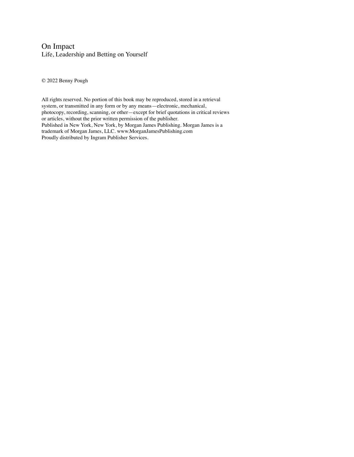### On Impact Life, Leadership and Betting on Yourself

© 2022 Benny Pough

All rights reserved. No portion of this book may be reproduced, stored in a retrieval system, or transmitted in any form or by any means—electronic, mechanical, photocopy, recording, scanning, or other—except for brief quotations in critical reviews or articles, without the prior written permission of the publisher. Published in New York, New York, by Morgan James Publishing. Morgan James is a trademark of Morgan James, LLC. www.MorganJamesPublishing.com Proudly distributed by Ingram Publisher Services.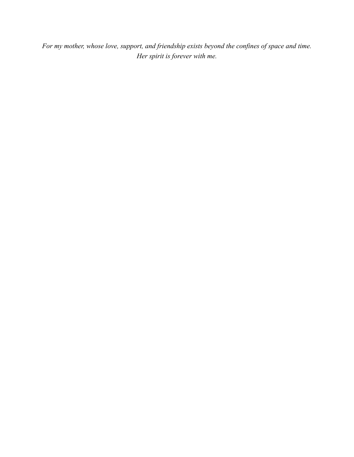*For my mother, whose love, support, and friendship exists beyond the confines of space and time. Her spirit is forever with me.*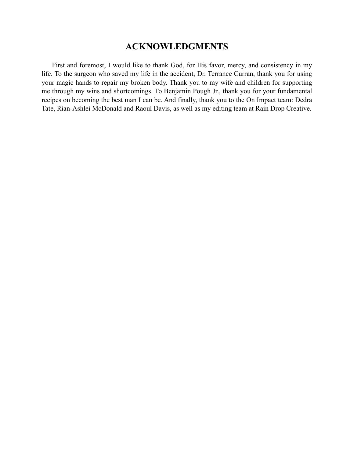# **ACKNOWLEDGMENTS**

First and foremost, I would like to thank God, for His favor, mercy, and consistency in my life. To the surgeon who saved my life in the accident, Dr. Terrance Curran, thank you for using your magic hands to repair my broken body. Thank you to my wife and children for supporting me through my wins and shortcomings. To Benjamin Pough Jr., thank you for your fundamental recipes on becoming the best man I can be. And finally, thank you to the On Impact team: Dedra Tate, Rian-Ashlei McDonald and Raoul Davis, as well as my editing team at Rain Drop Creative.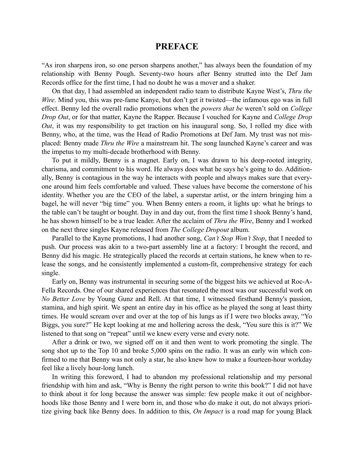## **PREFACE**

"As iron sharpens iron, so one person sharpens another," has always been the foundation of my relationship with Benny Pough. Seventy-two hours after Benny strutted into the Def Jam Records office for the first time, I had no doubt he was a mover and a shaker.

On that day, I had assembled an independent radio team to distribute Kayne West's, *Thru the Wire*. Mind you, this was pre-fame Kanye, but don't get it twisted—the infamous ego was in full effect. Benny led the overall radio promotions when the *powers that be* weren't sold on *College Drop Out*, or for that matter, Kayne the Rapper. Because I vouched for Kayne and *College Drop Out*, it was my responsibility to get traction on his inaugural song. So, I rolled my dice with Benny, who, at the time, was the Head of Radio Promotions at Def Jam. My trust was not misplaced: Benny made *Thru the Wire* a mainstream hit. The song launched Kayne's career and was the impetus to my multi-decade brotherhood with Benny.

To put it mildly, Benny is a magnet. Early on, I was drawn to his deep-rooted integrity, charisma, and commitment to his word. He always does what he says he's going to do. Additionally, Benny is contagious in the way he interacts with people and always makes sure that everyone around him feels comfortable and valued. These values have become the cornerstone of his identity. Whether you are the CEO of the label, a superstar artist, or the intern bringing him a bagel, he will never "big time" you. When Benny enters a room, it lights up: what he brings to the table can't be taught or bought. Day in and day out, from the first time I shook Benny's hand, he has shown himself to be a true leader. After the acclaim of *Thru the Wire*, Benny and I worked on the next three singles Kayne released from *The College Dropout* album.

Parallel to the Kayne promotions, I had another song, *Can't Stop Won't Stop*, that I needed to push. Our process was akin to a two-part assembly line at a factory: I brought the record, and Benny did his magic. He strategically placed the records at certain stations, he knew when to release the songs, and he consistently implemented a custom-fit, comprehensive strategy for each single.

Early on, Benny was instrumental in securing some of the biggest hits we achieved at Roc-A-Fella Records. One of our shared experiences that resonated the most was our successful work on *No Better Love* by Young Gunz and Rell. At that time, I witnessed firsthand Benny's passion, stamina, and high spirit. We spent an entire day in his office as he played the song at least thirty times. He would scream over and over at the top of his lungs as if I were two blocks away, "Yo Biggs, you sure?" He kept looking at me and hollering across the desk, "You sure this is it?" We listened to that song on "repeat" until we knew every verse and every note.

After a drink or two, we signed off on it and then went to work promoting the single. The song shot up to the Top 10 and broke 5,000 spins on the radio. It was an early win which confirmed to me that Benny was not only a star, he also knew how to make a fourteen-hour workday feel like a lively hour-long lunch.

In writing this foreword, I had to abandon my professional relationship and my personal friendship with him and ask, "Why is Benny the right person to write this book?" I did not have to think about it for long because the answer was simple: few people make it out of neighborhoods like those Benny and I were born in, and those who do make it out, do not always prioritize giving back like Benny does. In addition to this, *On Impact* is a road map for young Black